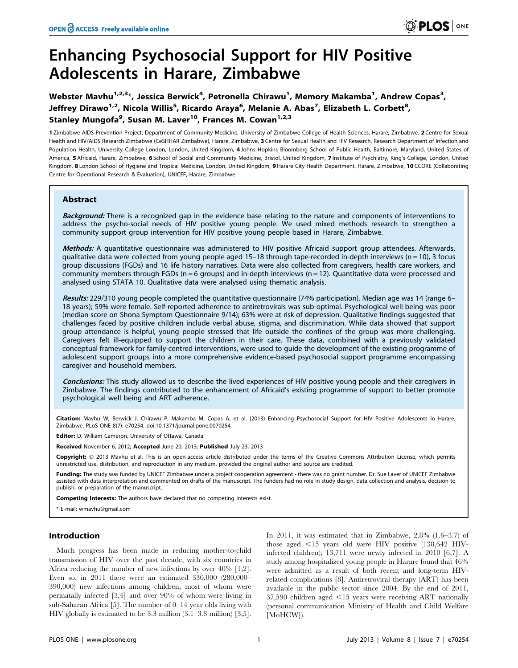# Enhancing Psychosocial Support for HIV Positive Adolescents in Harare, Zimbabwe

Webster Mavhu $^{1,2,3_\ast}$ , Jessica Berwick $^4$ , Petronella Chirawu $^1$ , Memory Makamba $^1$ , Andrew Copas $^3$ , Jeffrey Dirawo<sup>1,2</sup>, Nicola Willis<sup>5</sup>, Ricardo Araya<sup>6</sup>, Melanie A. Abas<sup>7</sup>, Elizabeth L. Corbett<sup>8</sup>, Stanley Mungofa<sup>9</sup>, Susan M. Laver<sup>10</sup>, Frances M. Cowan<sup>1,2,3</sup>

1 Zimbabwe AIDS Prevention Project, Department of Community Medicine, University of Zimbabwe College of Health Sciences, Harare, Zimbabwe, 2 Centre for Sexual Health and HIV/AIDS Research Zimbabwe (CeSHHAR Zimbabwe), Harare, Zimbabwe, 3 Centre for Sexual Health and HIV Research, Research Department of Infection and Population Health, University College London, London, United Kingdom, 4 Johns Hopkins Bloomberg School of Public Health, Baltimore, Maryland, United States of America, 5 Africaid, Harare, Zimbabwe, 6 School of Social and Community Medicine, Bristol, United Kingdom, 7 Institute of Psychiatry, King's College, London, United Kingdom, 8 London School of Hygiene and Tropical Medicine, London, United Kingdom, 9 Harare City Health Department, Harare, Zimbabwe, 10 CCORE (Collaborating Centre for Operational Research & Evaluation), UNICEF, Harare, Zimbabwe

## Abstract

Background: There is a recognized gap in the evidence base relating to the nature and components of interventions to address the psycho-social needs of HIV positive young people. We used mixed methods research to strengthen a community support group intervention for HIV positive young people based in Harare, Zimbabwe.

Methods: A quantitative questionnaire was administered to HIV positive Africaid support group attendees. Afterwards, qualitative data were collected from young people aged 15–18 through tape-recorded in-depth interviews ( $n = 10$ ), 3 focus group discussions (FGDs) and 16 life history narratives. Data were also collected from caregivers, health care workers, and community members through FGDs ( $n = 6$  groups) and in-depth interviews ( $n = 12$ ). Quantitative data were processed and analysed using STATA 10. Qualitative data were analysed using thematic analysis.

Results: 229/310 young people completed the quantitative questionnaire (74% participation). Median age was 14 (range 6– 18 years); 59% were female. Self-reported adherence to antiretrovirals was sub-optimal. Psychological well being was poor (median score on Shona Symptom Questionnaire 9/14); 63% were at risk of depression. Qualitative findings suggested that challenges faced by positive children include verbal abuse, stigma, and discrimination. While data showed that support group attendance is helpful, young people stressed that life outside the confines of the group was more challenging. Caregivers felt ill-equipped to support the children in their care. These data, combined with a previously validated conceptual framework for family-centred interventions, were used to guide the development of the existing programme of adolescent support groups into a more comprehensive evidence-based psychosocial support programme encompassing caregiver and household members.

Conclusions: This study allowed us to describe the lived experiences of HIV positive young people and their caregivers in Zimbabwe. The findings contributed to the enhancement of Africaid's existing programme of support to better promote psychological well being and ART adherence.

Citation: Mavhu W, Berwick J, Chirawu P, Makamba M, Copas A, et al. (2013) Enhancing Psychosocial Support for HIV Positive Adolescents in Harare, Zimbabwe. PLoS ONE 8(7): e70254. doi:10.1371/journal.pone.0070254

Editor: D. William Cameron, University of Ottawa, Canada

Received November 6, 2012; Accepted June 20, 2013; Published July 23, 2013

Copyright: © 2013 Mavhu et al. This is an open-access article distributed under the terms of the Creative Commons Attribution License, which permits unrestricted use, distribution, and reproduction in any medium, provided the original author and source are credited.

Funding: The study was funded by UNICEF Zimbabwe under a project cooperation agreement - there was no grant number. Dr. Sue Laver of UNICEF Zimbabwe assisted with data interpretation and commented on drafts of the manuscript. The funders had no role in study design, data collection and analysis, decision to publish, or preparation of the manuscript.

Competing Interests: The authors have declared that no competing interests exist.

\* E-mail: wmavhu@gmail.com

## Introduction

Much progress has been made in reducing mother-to-child transmission of HIV over the past decade, with six countries in Africa reducing the number of new infections by over 40% [1,2]. Even so, in 2011 there were an estimated 330,000 (280,000– 390,000) new infections among children, most of whom were perinatally infected [3,4] and over 90% of whom were living in sub-Saharan Africa [5]. The number of 0–14 year olds living with HIV globally is estimated to be 3.3 million (3.1–3.8 million) [3,5].

In 2011, it was estimated that in Zimbabwe, 2.8% (1.6–3.7) of those aged  $\leq 15$  years old were HIV positive (138,642 HIVinfected children); 13,711 were newly infected in 2010 [6,7]. A study among hospitalized young people in Harare found that 46% were admitted as a result of both recent and long-term HIVrelated complications [8]. Antiretroviral therapy (ART) has been available in the public sector since 2004. By the end of 2011,  $37,590$  children aged  $\leq 15$  years were receiving ART nationally (personal communication Ministry of Health and Child Welfare [MoHCW]).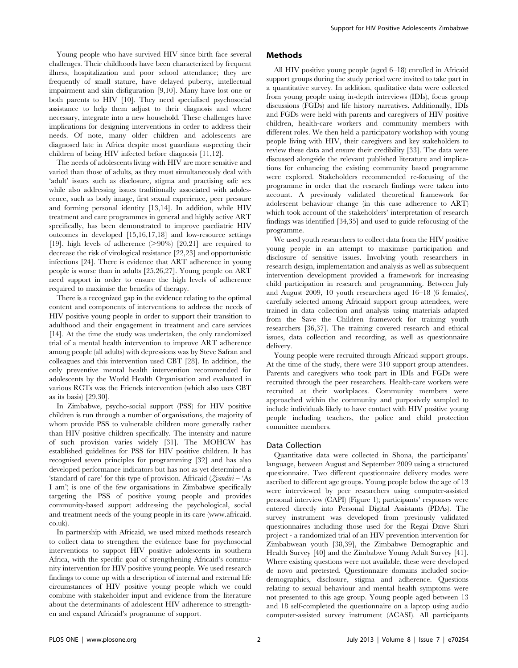Young people who have survived HIV since birth face several challenges. Their childhoods have been characterized by frequent illness, hospitalization and poor school attendance; they are frequently of small stature, have delayed puberty, intellectual impairment and skin disfiguration [9,10]. Many have lost one or both parents to HIV [10]. They need specialised psychosocial assistance to help them adjust to their diagnosis and where necessary, integrate into a new household. These challenges have implications for designing interventions in order to address their needs. Of note, many older children and adolescents are diagnosed late in Africa despite most guardians suspecting their children of being HIV infected before diagnosis [11,12].

The needs of adolescents living with HIV are more sensitive and varied than those of adults, as they must simultaneously deal with 'adult' issues such as disclosure, stigma and practising safe sex while also addressing issues traditionally associated with adolescence, such as body image, first sexual experience, peer pressure and forming personal identity [13,14]. In addition, while HIV treatment and care programmes in general and highly active ART specifically, has been demonstrated to improve paediatric HIV outcomes in developed [15,16,17,18] and low-resource settings [19], high levels of adherence  $(>90\%)$  [20,21] are required to decrease the risk of virological resistance [22,23] and opportunistic infections [24]. There is evidence that ART adherence in young people is worse than in adults [25,26,27]. Young people on ART need support in order to ensure the high levels of adherence required to maximise the benefits of therapy.

There is a recognized gap in the evidence relating to the optimal content and components of interventions to address the needs of HIV positive young people in order to support their transition to adulthood and their engagement in treatment and care services [14]. At the time the study was undertaken, the only randomized trial of a mental health intervention to improve ART adherence among people (all adults) with depressions was by Steve Safran and colleagues and this intervention used CBT [28]. In addition, the only preventive mental health intervention recommended for adolescents by the World Health Organisation and evaluated in various RCTs was the Friends intervention (which also uses CBT as its basis) [29,30].

In Zimbabwe, psycho-social support (PSS) for HIV positive children is run through a number of organisations, the majority of whom provide PSS to vulnerable children more generally rather than HIV positive children specifically. The intensity and nature of such provision varies widely [31]. The MOHCW has established guidelines for PSS for HIV positive children. It has recognised seven principles for programming [32] and has also developed performance indicators but has not as yet determined a 'standard of care' for this type of provision. Africaid  $(\text{Z}vand\text{in} - ^t\text{As})$ I am') is one of the few organisations in Zimbabwe specifically targeting the PSS of positive young people and provides community-based support addressing the psychological, social and treatment needs of the young people in its care (www.africaid. co.uk).

In partnership with Africaid, we used mixed methods research to collect data to strengthen the evidence base for psychosocial interventions to support HIV positive adolescents in southern Africa, with the specific goal of strengthening Africaid's community intervention for HIV positive young people. We used research findings to come up with a description of internal and external life circumstances of HIV positive young people which we could combine with stakeholder input and evidence from the literature about the determinants of adolescent HIV adherence to strengthen and expand Africaid's programme of support.

## Methods

All HIV positive young people (aged 6–18) enrolled in Africaid support groups during the study period were invited to take part in a quantitative survey. In addition, qualitative data were collected from young people using in-depth interviews (IDIs), focus group discussions (FGDs) and life history narratives. Additionally, IDIs and FGDs were held with parents and caregivers of HIV positive children, health-care workers and community members with different roles. We then held a participatory workshop with young people living with HIV, their caregivers and key stakeholders to review these data and ensure their credibility [33]. The data were discussed alongside the relevant published literature and implications for enhancing the existing community based programme were explored. Stakeholders recommended re-focusing of the programme in order that the research findings were taken into account. A previously validated theoretical framework for adolescent behaviour change (in this case adherence to ART) which took account of the stakeholders' interpretation of research findings was identified [34,35] and used to guide refocusing of the programme.

We used youth researchers to collect data from the HIV positive young people in an attempt to maximise participation and disclosure of sensitive issues. Involving youth researchers in research design, implementation and analysis as well as subsequent intervention development provided a framework for increasing child participation in research and programming. Between July and August 2009, 10 youth researchers aged 16–18 (6 females), carefully selected among Africaid support group attendees, were trained in data collection and analysis using materials adapted from the Save the Children framework for training youth researchers [36,37]. The training covered research and ethical issues, data collection and recording, as well as questionnaire delivery.

Young people were recruited through Africaid support groups. At the time of the study, there were 310 support group attendees. Parents and caregivers who took part in IDIs and FGDs were recruited through the peer researchers. Health-care workers were recruited at their workplaces. Community members were approached within the community and purposively sampled to include individuals likely to have contact with HIV positive young people including teachers, the police and child protection committee members.

### Data Collection

Quantitative data were collected in Shona, the participants' language, between August and September 2009 using a structured questionnaire. Two different questionnaire delivery modes were ascribed to different age groups. Young people below the age of 13 were interviewed by peer researchers using computer-assisted personal interview (CAPI) (Figure 1); participants' responses were entered directly into Personal Digital Assistants (PDAs). The survey instrument was developed from previously validated questionnaires including those used for the Regai Dzive Shiri project - a randomized trial of an HIV prevention intervention for Zimbabwean youth [38,39], the Zimbabwe Demographic and Health Survey [40] and the Zimbabwe Young Adult Survey [41]. Where existing questions were not available, these were developed de novo and pretested. Questionnaire domains included sociodemographics, disclosure, stigma and adherence. Questions relating to sexual behaviour and mental health symptoms were not presented to this age group. Young people aged between 13 and 18 self-completed the questionnaire on a laptop using audio computer-assisted survey instrument (ACASI). All participants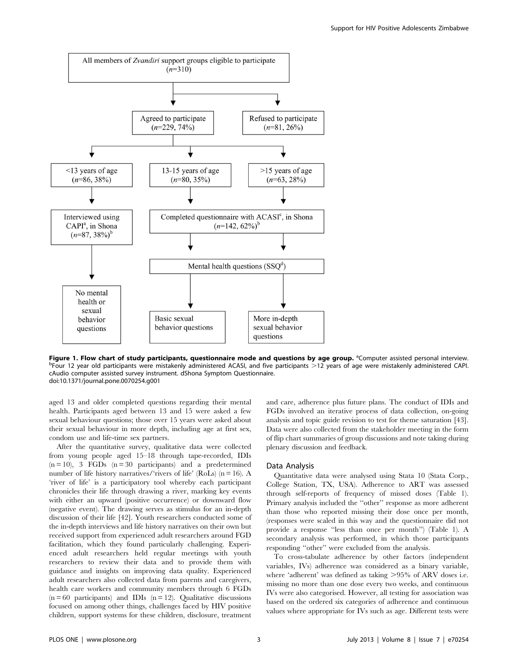

Figure 1. Flow chart of study participants, questionnaire mode and questions by age group. <sup>a</sup>Computer assisted personal interview.<br>PEQUE 12 year old participants were mistakenly administered ACASL and five participants. 2  $P$ Four 12 year old participants were mistakenly administered ACASI, and five participants  $>12$  years of age were mistakenly administered CAPI. cAudio computer assisted survey instrument. dShona Symptom Questionnaire. doi:10.1371/journal.pone.0070254.g001

aged 13 and older completed questions regarding their mental health. Participants aged between 13 and 15 were asked a few sexual behaviour questions; those over 15 years were asked about their sexual behaviour in more depth, including age at first sex, condom use and life-time sex partners.

After the quantitative survey, qualitative data were collected from young people aged 15–18 through tape-recorded, IDIs  $(n = 10)$ , 3 FGDs  $(n = 30$  participants) and a predetermined number of life history narratives/'rivers of life' (RoLs) ( $n = 16$ ). A 'river of life' is a participatory tool whereby each participant chronicles their life through drawing a river, marking key events with either an upward (positive occurrence) or downward flow (negative event). The drawing serves as stimulus for an in-depth discussion of their life [42]. Youth researchers conducted some of the in-depth interviews and life history narratives on their own but received support from experienced adult researchers around FGD facilitation, which they found particularly challenging. Experienced adult researchers held regular meetings with youth researchers to review their data and to provide them with guidance and insights on improving data quality. Experienced adult researchers also collected data from parents and caregivers, health care workers and community members through 6 FGDs  $(n = 60$  participants) and IDIs  $(n = 12)$ . Qualitative discussions focused on among other things, challenges faced by HIV positive children, support systems for these children, disclosure, treatment and care, adherence plus future plans. The conduct of IDIs and FGDs involved an iterative process of data collection, on-going analysis and topic guide revision to test for theme saturation [43]. Data were also collected from the stakeholder meeting in the form of flip chart summaries of group discussions and note taking during plenary discussion and feedback.

#### Data Analysis

Quantitative data were analysed using Stata 10 (Stata Corp., College Station, TX, USA). Adherence to ART was assessed through self-reports of frequency of missed doses (Table 1). Primary analysis included the ''other'' response as more adherent than those who reported missing their dose once per month, (responses were scaled in this way and the questionnaire did not provide a response ''less than once per month'') (Table 1). A secondary analysis was performed, in which those participants responding ''other'' were excluded from the analysis.

To cross-tabulate adherence by other factors (independent variables, IVs) adherence was considered as a binary variable, where 'adherent' was defined as taking  $>95\%$  of ARV doses i.e. missing no more than one dose every two weeks, and continuous IVs were also categorised. However, all testing for association was based on the ordered six categories of adherence and continuous values where appropriate for IVs such as age. Different tests were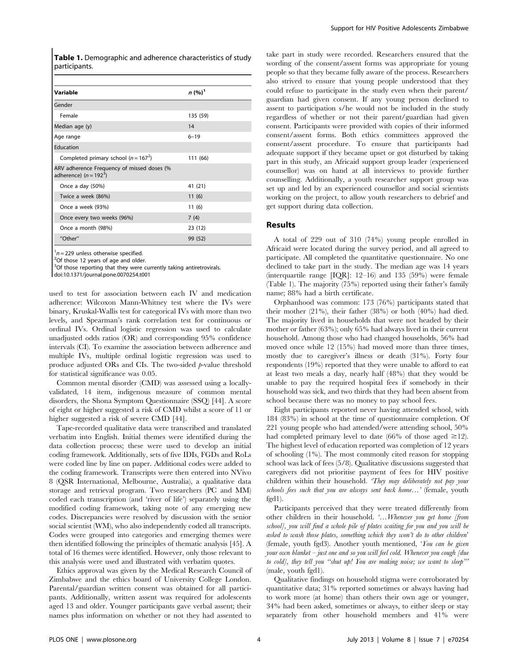Table 1. Demographic and adherence characteristics of study participants.

| Variable                                                               | $n (%)^1$ |
|------------------------------------------------------------------------|-----------|
| Gender                                                                 |           |
| Female                                                                 | 135 (59)  |
| Median age (y)                                                         | 14        |
| Age range                                                              | $6 - 19$  |
| Education                                                              |           |
| Completed primary school ( $n = 1672$ )                                | 111 (66)  |
| ARV adherence Frequency of missed doses (%<br>adherence) $(n = 192^3)$ |           |
| Once a day (50%)                                                       | 41 (21)   |
| Twice a week (86%)                                                     | 11(6)     |
| Once a week (93%)                                                      | 11(6)     |
| Once every two weeks (96%)                                             | 7(4)      |
| Once a month (98%)                                                     | 23 (12)   |
| "Other"                                                                | 99 (52)   |

 $n = 229$  unless otherwise specified.

 $2$ Of those 12 years of age and older.

<sup>3</sup>Of those reporting that they were currently taking antiretrovirals.

doi:10.1371/journal.pone.0070254.t001

used to test for association between each IV and medication adherence: Wilcoxon Mann-Whitney test where the IVs were binary, Kruskal-Wallis test for categorical IVs with more than two levels, and Spearman's rank correlation test for continuous or ordinal IVs. Ordinal logistic regression was used to calculate unadjusted odds ratios (OR) and corresponding 95% confidence intervals (CI). To examine the association between adherence and multiple IVs, multiple ordinal logistic regression was used to produce adjusted ORs and CIs. The two-sided  $p$ -value threshold for statistical significance was 0.05.

Common mental disorder (CMD) was assessed using a locallyvalidated, 14 item, indigenous measure of common mental disorders, the Shona Symptom Questionnaire (SSQ) [44]. A score of eight or higher suggested a risk of CMD whilst a score of 11 or higher suggested a risk of severe CMD [44].

Tape-recorded qualitative data were transcribed and translated verbatim into English. Initial themes were identified during the data collection process; these were used to develop an initial coding framework. Additionally, sets of five IDIs, FGDs and RoLs were coded line by line on paper. Additional codes were added to the coding framework. Transcripts were then entered into NVivo 8 (QSR International, Melbourne, Australia), a qualitative data storage and retrieval program. Two researchers (PC and MM) coded each transcription (and 'river of life') separately using the modified coding framework, taking note of any emerging new codes. Discrepancies were resolved by discussion with the senior social scientist (WM), who also independently coded all transcripts. Codes were grouped into categories and emerging themes were then identified following the principles of thematic analysis [45]. A total of 16 themes were identified. However, only those relevant to this analysis were used and illustrated with verbatim quotes.

Ethics approval was given by the Medical Research Council of Zimbabwe and the ethics board of University College London. Parental/guardian written consent was obtained for all participants. Additionally, written assent was required for adolescents aged 13 and older. Younger participants gave verbal assent; their names plus information on whether or not they had assented to

take part in study were recorded. Researchers ensured that the wording of the consent/assent forms was appropriate for young people so that they became fully aware of the process. Researchers also strived to ensure that young people understood that they could refuse to participate in the study even when their parent/ guardian had given consent. If any young person declined to assent to participation s/he would not be included in the study regardless of whether or not their parent/guardian had given consent. Participants were provided with copies of their informed consent/assent forms. Both ethics committees approved the consent/assent procedure. To ensure that participants had adequate support if they became upset or got disturbed by taking part in this study, an Africaid support group leader (experienced counsellor) was on hand at all interviews to provide further counselling. Additionally, a youth researcher support group was set up and led by an experienced counsellor and social scientists working on the project, to allow youth researchers to debrief and get support during data collection.

## Results

A total of 229 out of 310 (74%) young people enrolled in Africaid were located during the survey period, and all agreed to participate. All completed the quantitative questionnaire. No one declined to take part in the study. The median age was 14 years (interquartile range [IQR]: 12–16) and 135 (59%) were female (Table 1). The majority (75%) reported using their father's family name; 88% had a birth certificate.

Orphanhood was common: 173 (76%) participants stated that their mother (21%), their father (38%) or both (40%) had died. The majority lived in households that were not headed by their mother or father (63%); only 65% had always lived in their current household. Among those who had changed households, 56% had moved once while 12 (15%) had moved more than three times, mostly due to caregiver's illness or death (31%). Forty four respondents (19%) reported that they were unable to afford to eat at least two meals a day, nearly half (48%) that they would be unable to pay the required hospital fees if somebody in their household was sick, and two thirds that they had been absent from school because there was no money to pay school fees.

Eight participants reported never having attended school, with 184 (83%) in school at the time of questionnaire completion. Of 221 young people who had attended/were attending school, 50% had completed primary level to date (66% of those aged  $\geq$ 12). The highest level of education reported was completion of 12 years of schooling (1%). The most commonly cited reason for stopping school was lack of fees (5/8). Qualitative discussions suggested that caregivers did not prioritise payment of fees for HIV positive children within their household. 'They may deliberately not pay your schools fees such that you are always sent back home...' (female, youth fgd1).

Participants perceived that they were treated differently from other children in their household. '…Whenever you get home [from school], you will find a whole pile of plates waiting for you and you will be asked to wash those plates, something which they won't do to other children' (female, youth fgd3). Another youth mentioned, 'You can be given your own blanket – just one and so you will feel cold. Whenever you cough [due to cold], they tell you "shut up! You are making noise; we want to sleep" (male, youth fgd1).

Qualitative findings on household stigma were corroborated by quantitative data; 31% reported sometimes or always having had to work more (at home) than others their own age or younger, 34% had been asked, sometimes or always, to either sleep or stay separately from other household members and 41% were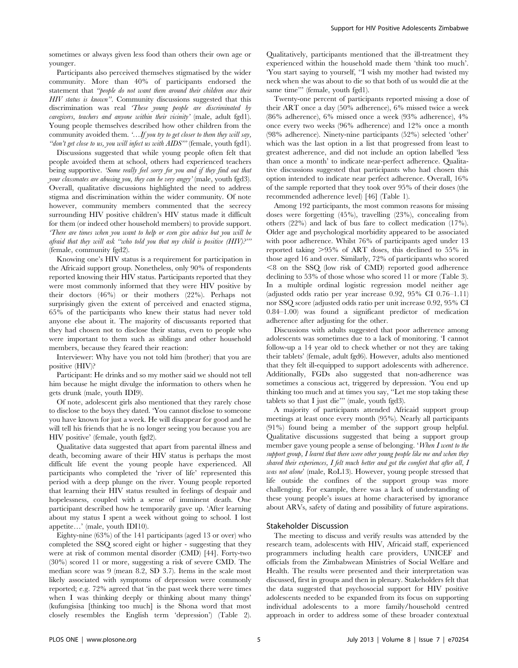sometimes or always given less food than others their own age or younger.

Participants also perceived themselves stigmatised by the wider community. More than 40% of participants endorsed the statement that ''people do not want them around their children once their HIV status is known''. Community discussions suggested that this discrimination was real 'These young people are discriminated by caregivers, teachers and anyone within their vicinity' (male, adult fgd1). Young people themselves described how other children from the community avoided them. '... If you try to get closer to them they will say, "don't get close to us, you will infect us with AIDS"" (female, youth fgd1).

Discussions suggested that while young people often felt that people avoided them at school, others had experienced teachers being supportive. 'Some really feel sorry for you and if they find out that your classmates are abusing you, they can be very angry' (male, youth fgd3). Overall, qualitative discussions highlighted the need to address stigma and discrimination within the wider community. Of note however, community members commented that the secrecy surrounding HIV positive children's HIV status made it difficult for them (or indeed other household members) to provide support. 'There are times when you want to help or even give advice but you will be afraid that they will ask "who told you that my child is positive (HIV)?" (female, community fgd2).

Knowing one's HIV status is a requirement for participation in the Africaid support group. Nonetheless, only 90% of respondents reported knowing their HIV status. Participants reported that they were most commonly informed that they were HIV positive by their doctors (46%) or their mothers (22%). Perhaps not surprisingly given the extent of perceived and enacted stigma, 65% of the participants who knew their status had never told anyone else about it. The majority of discussants reported that they had chosen not to disclose their status, even to people who were important to them such as siblings and other household members, because they feared their reaction:

Interviewer: Why have you not told him (brother) that you are positive (HIV)?

Participant: He drinks and so my mother said we should not tell him because he might divulge the information to others when he gets drunk (male, youth IDI9).

Of note, adolescent girls also mentioned that they rarely chose to disclose to the boys they dated. 'You cannot disclose to someone you have known for just a week. He will disappear for good and he will tell his friends that he is no longer seeing you because you are HIV positive' (female, youth fgd2).

Qualitative data suggested that apart from parental illness and death, becoming aware of their HIV status is perhaps the most difficult life event the young people have experienced. All participants who completed the 'river of life' represented this period with a deep plunge on the river. Young people reported that learning their HIV status resulted in feelings of despair and hopelessness, coupled with a sense of imminent death. One participant described how he temporarily gave up. 'After learning about my status I spent a week without going to school. I lost appetite…' (male, youth IDI10).

Eighty-nine (63%) of the 141 participants (aged 13 or over) who completed the SSQ scored eight or higher - suggesting that they were at risk of common mental disorder (CMD) [44]. Forty-two (30%) scored 11 or more, suggesting a risk of severe CMD. The median score was 9 (mean 8.2, SD 3.7). Items in the scale most likely associated with symptoms of depression were commonly reported; e.g. 72% agreed that 'in the past week there were times when I was thinking deeply or thinking about many things' (kufungisisa [thinking too much] is the Shona word that most closely resembles the English term 'depression') (Table 2).

Qualitatively, participants mentioned that the ill-treatment they experienced within the household made them 'think too much'. 'You start saying to yourself, ''I wish my mother had twisted my neck when she was about to die so that both of us would die at the same time"' (female, youth fgd1).

Twenty-one percent of participants reported missing a dose of their ART once a day (50% adherence), 6% missed twice a week (86% adherence), 6% missed once a week (93% adherence), 4% once every two weeks (96% adherence) and 12% once a month (98% adherence). Ninety-nine participants (52%) selected 'other' which was the last option in a list that progressed from least to greatest adherence, and did not include an option labelled 'less than once a month' to indicate near-perfect adherence. Qualitative discussions suggested that participants who had chosen this option intended to indicate near perfect adherence. Overall, 16% of the sample reported that they took over 95% of their doses (the recommended adherence level) [46] (Table 1).

Among 192 participants, the most common reasons for missing doses were forgetting (45%), travelling (23%), concealing from others (22%) and lack of bus fare to collect medication (17%). Older age and psychological morbidity appeared to be associated with poor adherence. Whilst 76% of participants aged under 13 reported taking  $>95\%$  of ART doses, this declined to 55% in those aged 16 and over. Similarly, 72% of participants who scored  $\leq$ 8 on the SSQ (low risk of CMD) reported good adherence declining to 53% of those whose who scored 11 or more (Table 3). In a multiple ordinal logistic regression model neither age (adjusted odds ratio per year increase 0.92, 95% CI 0.76–1.11) nor SSQ score (adjusted odds ratio per unit increase 0.92, 95% CI 0.84–1.00) was found a significant predictor of medication adherence after adjusting for the other.

Discussions with adults suggested that poor adherence among adolescents was sometimes due to a lack of monitoring. 'I cannot follow-up a 14 year old to check whether or not they are taking their tablets' (female, adult fgd6). However, adults also mentioned that they felt ill-equipped to support adolescents with adherence. Additionally, FGDs also suggested that non-adherence was sometimes a conscious act, triggered by depression. 'You end up thinking too much and at times you say, ''Let me stop taking these tablets so that I just die''' (male, youth fgd3).

A majority of participants attended Africaid support group meetings at least once every month (95%). Nearly all participants (91%) found being a member of the support group helpful. Qualitative discussions suggested that being a support group member gave young people a sense of belonging. 'When I went to the support group, I learnt that there were other young people like me and when they shared their experiences, I felt much better and got the comfort that after all, I was not alone' (male, RoL13). However, young people stressed that life outside the confines of the support group was more challenging. For example, there was a lack of understanding of these young people's issues at home characterised by ignorance about ARVs, safety of dating and possibility of future aspirations.

#### Stakeholder Discussion

The meeting to discuss and verify results was attended by the research team, adolescents with HIV, Africaid staff, experienced programmers including health care providers, UNICEF and officials from the Zimbabwean Ministries of Social Welfare and Health. The results were presented and their interpretation was discussed, first in groups and then in plenary. Stakeholders felt that the data suggested that psychosocial support for HIV positive adolescents needed to be expanded from its focus on supporting individual adolescents to a more family/household centred approach in order to address some of these broader contextual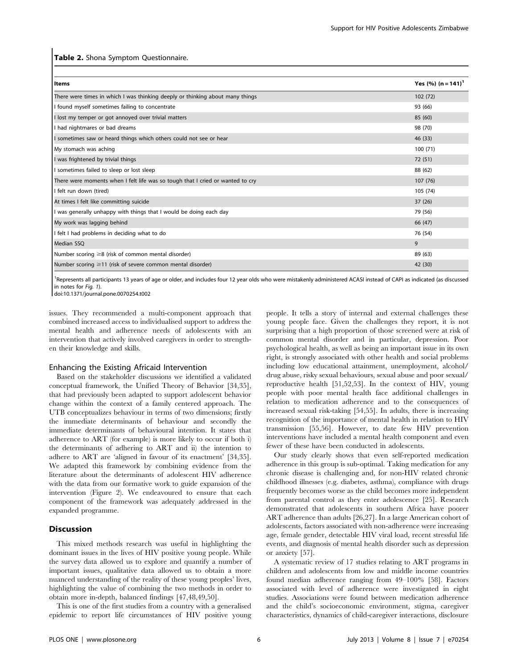#### Table 2. Shona Symptom Questionnaire.

| <b>Items</b>                                                                   | Yes (%) $(n = 141)^T$ |
|--------------------------------------------------------------------------------|-----------------------|
| There were times in which I was thinking deeply or thinking about many things  | 102(72)               |
| I found myself sometimes failing to concentrate                                | 93 (66)               |
| I lost my temper or got annoyed over trivial matters                           | 85 (60)               |
| I had nightmares or bad dreams                                                 | 98 (70)               |
| I sometimes saw or heard things which others could not see or hear             | 46 (33)               |
| My stomach was aching                                                          | 100(71)               |
| I was frightened by trivial things                                             | 72 (51)               |
| I sometimes failed to sleep or lost sleep                                      | 88 (62)               |
| There were moments when I felt life was so tough that I cried or wanted to cry | 107(76)               |
| I felt run down (tired)                                                        | 105 (74)              |
| At times I felt like committing suicide                                        | 37(26)                |
| I was generally unhappy with things that I would be doing each day             | 79 (56)               |
| My work was lagging behind                                                     | 66 (47)               |
| I felt I had problems in deciding what to do                                   | 76 (54)               |
| Median SSQ                                                                     | 9                     |
| Number scoring $\geq 8$ (risk of common mental disorder)                       | 89 (63)               |
| Number scoring $\geq$ 11 (risk of severe common mental disorder)               | 42 (30)               |

<sup>1</sup>Represents all participants 13 years of age or older, and includes four 12 year olds who were mistakenly administered ACASI instead of CAPI as indicated (as discussed in notes for Fig. 1).

doi:10.1371/journal.pone.0070254.t002

issues. They recommended a multi-component approach that combined increased access to individualised support to address the mental health and adherence needs of adolescents with an intervention that actively involved caregivers in order to strengthen their knowledge and skills.

### Enhancing the Existing Africaid Intervention

Based on the stakeholder discussions we identified a validated conceptual framework, the Unified Theory of Behavior [34,35], that had previously been adapted to support adolescent behavior change within the context of a family centered approach. The UTB conceptualizes behaviour in terms of two dimensions; firstly the immediate determinants of behaviour and secondly the immediate determinants of behavioural intention. It states that adherence to ART (for example) is more likely to occur if both i) the determinants of adhering to ART and ii) the intention to adhere to ART are 'aligned in favour of its enactment' [34,35]. We adapted this framework by combining evidence from the literature about the determinants of adolescent HIV adherence with the data from our formative work to guide expansion of the intervention (Figure 2). We endeavoured to ensure that each component of the framework was adequately addressed in the expanded programme.

## Discussion

This mixed methods research was useful in highlighting the dominant issues in the lives of HIV positive young people. While the survey data allowed us to explore and quantify a number of important issues, qualitative data allowed us to obtain a more nuanced understanding of the reality of these young peoples' lives, highlighting the value of combining the two methods in order to obtain more in-depth, balanced findings [47,48,49,50].

This is one of the first studies from a country with a generalised epidemic to report life circumstances of HIV positive young people. It tells a story of internal and external challenges these young people face. Given the challenges they report, it is not surprising that a high proportion of those screened were at risk of common mental disorder and in particular, depression. Poor psychological health, as well as being an important issue in its own right, is strongly associated with other health and social problems including low educational attainment, unemployment, alcohol/ drug abuse, risky sexual behaviours, sexual abuse and poor sexual/ reproductive health [51,52,53]. In the context of HIV, young people with poor mental health face additional challenges in relation to medication adherence and to the consequences of increased sexual risk-taking [54,55]. In adults, there is increasing recognition of the importance of mental health in relation to HIV transmission [55,56]. However, to date few HIV prevention interventions have included a mental health component and even fewer of these have been conducted in adolescents.

Our study clearly shows that even self-reported medication adherence in this group is sub-optimal. Taking medication for any chronic disease is challenging and, for non-HIV related chronic childhood illnesses (e.g. diabetes, asthma), compliance with drugs frequently becomes worse as the child becomes more independent from parental control as they enter adolescence [25]. Research demonstrated that adolescents in southern Africa have poorer ART adherence than adults [26,27]. In a large American cohort of adolescents, factors associated with non-adherence were increasing age, female gender, detectable HIV viral load, recent stressful life events, and diagnosis of mental health disorder such as depression or anxiety [57].

A systematic review of 17 studies relating to ART programs in children and adolescents from low and middle income countries found median adherence ranging from 49–100% [58]. Factors associated with level of adherence were investigated in eight studies. Associations were found between medication adherence and the child's socioeconomic environment, stigma, caregiver characteristics, dynamics of child-caregiver interactions, disclosure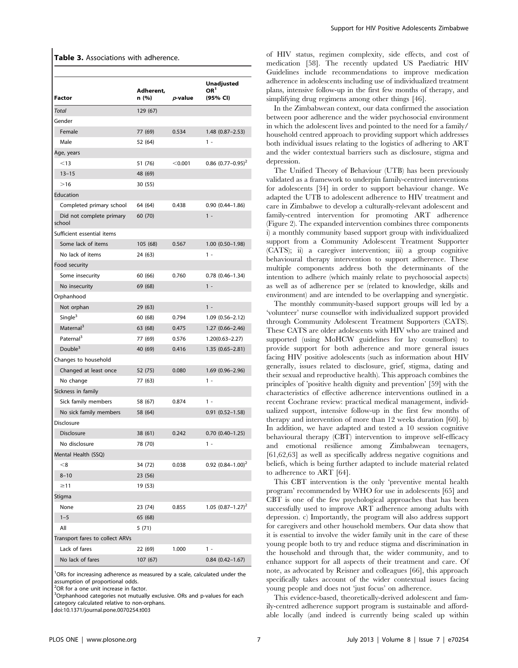| <b>Factor</b>                      | Adherent,<br>n (%) | $p$ -value | Unadjusted<br>OR <sup>1</sup><br>(95% CI) |
|------------------------------------|--------------------|------------|-------------------------------------------|
| Total                              | 129 (67)           |            |                                           |
| Gender                             |                    |            |                                           |
| Female                             | 77 (69)            | 0.534      | $1.48(0.87 - 2.53)$                       |
| Male                               | 52 (64)            |            | $1 -$                                     |
| Age, years                         |                    |            |                                           |
| < 13                               | 51 (76)            | < 0.001    | 0.86 $(0.77-0.95)^2$                      |
| $13 - 15$                          | 48 (69)            |            |                                           |
| >16                                | 30 (55)            |            |                                           |
| Education                          |                    |            |                                           |
| Completed primary school           | 64 (64)            | 0.438      | $0.90(0.44 - 1.86)$                       |
| Did not complete primary<br>school | 60 (70)            |            | $1 -$                                     |
| Sufficient essential items         |                    |            |                                           |
| Some lack of items                 | 105 (68)           | 0.567      | 1.00 (0.50-1.98)                          |
| No lack of items                   | 24 (63)            |            | $1 -$                                     |
| Food security                      |                    |            |                                           |
| Some insecurity                    | 60 (66)            | 0.760      | $0.78$ $(0.46 - 1.34)$                    |
| No insecurity                      | 69 (68)            |            | $1 -$                                     |
| Orphanhood                         |                    |            |                                           |
| Not orphan                         | 29 (63)            |            | $1 -$                                     |
| Single <sup>3</sup>                | 60 (68)            | 0.794      | $1.09(0.56 - 2.12)$                       |
| Maternal <sup>3</sup>              | 63 (68)            | 0.475      | $1.27(0.66 - 2.46)$                       |
| Paternal <sup>3</sup>              | 77 (69)            | 0.576      | $1.20(0.63 - 2.27)$                       |
| Double <sup>3</sup>                | 40 (69)            | 0.416      | $1.35(0.65 - 2.81)$                       |
| Changes to household               |                    |            |                                           |
| Changed at least once              | 52 (75)            | 0.080      | 1.69 (0.96-2.96)                          |
| No change                          | 77 (63)            |            | $1 -$                                     |
| Sickness in family                 |                    |            |                                           |
| Sick family members                | 58 (67)            | 0.874      | $1 -$                                     |
| No sick family members             | 58 (64)            |            | $0.91(0.52 - 1.58)$                       |
| Disclosure                         |                    |            |                                           |
| Disclosure                         | 38 (61)            | 0.242      | $0.70$ $(0.40-1.25)$                      |
| No disclosure                      | 78 (70)            |            | 1 -                                       |
| Mental Health (SSQ)                |                    |            |                                           |
| < 8                                | 34 (72)            | 0.038      | $0.92$ $(0.84 - 1.00)^2$                  |
| $8 - 10$                           | 23 (56)            |            |                                           |
| $\geq$ 11                          | 19 (53)            |            |                                           |
| Stigma                             |                    |            |                                           |
| None                               | 23 (74)            | 0.855      | 1.05 $(0.87 - 1.27)^2$                    |
| $1 - 5$                            | 65 (68)            |            |                                           |
| All                                | 5 (71)             |            |                                           |
| Transport fares to collect ARVs    |                    |            |                                           |
| Lack of fares                      | 22 (69)            | 1.000      | $1 -$                                     |
| No lack of fares                   | 107 (67)           |            | $0.84(0.42 - 1.67)$                       |

<sup>1</sup>ORs for increasing adherence as measured by a scale, calculated under the assumption of proportional odds.

<sup>2</sup>OR for a one unit increase in factor.

<sup>3</sup>Orphanhood categories not mutually exclusive. ORs and p-values for each category calculated relative to non-orphans.

doi:10.1371/journal.pone.0070254.t003

of HIV status, regimen complexity, side effects, and cost of medication [58]. The recently updated US Paediatric HIV Guidelines include recommendations to improve medication adherence in adolescents including use of individualized treatment plans, intensive follow-up in the first few months of therapy, and simplifying drug regimens among other things [46].

In the Zimbabwean context, our data confirmed the association between poor adherence and the wider psychosocial environment in which the adolescent lives and pointed to the need for a family/ household centred approach to providing support which addresses both individual issues relating to the logistics of adhering to ART and the wider contextual barriers such as disclosure, stigma and depression.

The Unified Theory of Behaviour (UTB) has been previously validated as a framework to underpin family-centred interventions for adolescents [34] in order to support behaviour change. We adapted the UTB to adolescent adherence to HIV treatment and care in Zimbabwe to develop a culturally-relevant adolescent and family-centred intervention for promoting ART adherence (Figure 2). The expanded intervention combines three components i) a monthly community based support group with individualized support from a Community Adolescent Treatment Supporter (CATS); ii) a caregiver intervention; iii) a group cognitive behavioural therapy intervention to support adherence. These multiple components address both the determinants of the intention to adhere (which mainly relate to psychosocial aspects) as well as of adherence per se (related to knowledge, skills and environment) and are intended to be overlapping and synergistic.

The monthly community-based support groups will led by a 'volunteer' nurse counsellor with individualized support provided through Community Adolescent Treatment Supporters (CATS). These CATS are older adolescents with HIV who are trained and supported (using MoHCW guidelines for lay counsellors) to provide support for both adherence and more general issues facing HIV positive adolescents (such as information about HIV generally, issues related to disclosure, grief, stigma, dating and their sexual and reproductive health). This approach combines the principles of 'positive health dignity and prevention' [59] with the characteristics of effective adherence interventions outlined in a recent Cochrane review: practical medical management, individualized support, intensive follow-up in the first few months of therapy and intervention of more than 12 weeks duration [60]. b) In addition, we have adapted and tested a 10 session cognitive behavioural therapy (CBT) intervention to improve self-efficacy and emotional resilience among Zimbabwean teenagers, [61,62,63] as well as specifically address negative cognitions and beliefs, which is being further adapted to include material related to adherence to ART [64].

This CBT intervention is the only 'preventive mental health program' recommended by WHO for use in adolescents [65] and CBT is one of the few psychological approaches that has been successfully used to improve ART adherence among adults with depression. c) Importantly, the program will also address support for caregivers and other household members. Our data show that it is essential to involve the wider family unit in the care of these young people both to try and reduce stigma and discrimination in the household and through that, the wider community, and to enhance support for all aspects of their treatment and care. Of note, as advocated by Reisner and colleagues [66], this approach specifically takes account of the wider contextual issues facing young people and does not 'just focus' on adherence.

This evidence-based, theoretically-derived adolescent and family-centred adherence support program is sustainable and affordable locally (and indeed is currently being scaled up within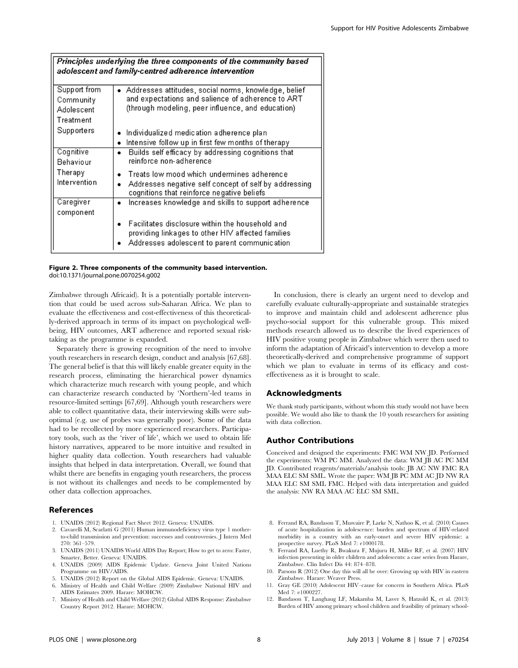|                                                      | Principles underlying the three components of the community based<br>adolescent and family-centred adherence intervention                                      |
|------------------------------------------------------|----------------------------------------------------------------------------------------------------------------------------------------------------------------|
| Support from<br>Community<br>Adolescent<br>Treatment | Addresses attitudes, social norms, knowledge, belief<br>and expectations and salience of adherence to ART<br>(through modeling, peer influence, and education) |
| Supporters                                           | Individualized medication adherence plan<br>Intensive follow up in first few months of therapy                                                                 |
| Cognitive<br>Behaviour                               | Builds self efficacy by addressing cognitions that<br>reinforce non-adherence                                                                                  |
| Therapy<br>Intervention                              | Treats low mood which undermines adherence<br>Addresses negative self concept of self by addressing<br>cognitions that reinforce negative beliefs              |
| Caregiver<br>component                               | Increases knowledge and skills to support adherence<br>$\bullet$                                                                                               |
|                                                      | Facilitates disclosure within the household and<br>providing linkages to other HIV affected families<br>Addresses adolescent to parent communication           |

#### Figure 2. Three components of the community based intervention. doi:10.1371/journal.pone.0070254.g002

Zimbabwe through Africaid). It is a potentially portable intervention that could be used across sub-Saharan Africa. We plan to evaluate the effectiveness and cost-effectiveness of this theoretically-derived approach in terms of its impact on psychological wellbeing, HIV outcomes, ART adherence and reported sexual risktaking as the programme is expanded.

Separately there is growing recognition of the need to involve youth researchers in research design, conduct and analysis [67,68]. The general belief is that this will likely enable greater equity in the research process, eliminating the hierarchical power dynamics which characterize much research with young people, and which can characterize research conducted by 'Northern'-led teams in resource-limited settings [67,69]. Although youth researchers were able to collect quantitative data, their interviewing skills were suboptimal (e.g. use of probes was generally poor). Some of the data had to be recollected by more experienced researchers. Participatory tools, such as the 'river of life', which we used to obtain life history narratives, appeared to be more intuitive and resulted in higher quality data collection. Youth researchers had valuable insights that helped in data interpretation. Overall, we found that whilst there are benefits in engaging youth researchers, the process is not without its challenges and needs to be complemented by other data collection approaches.

# References

- 1. UNAIDS (2012) Regional Fact Sheet 2012. Geneva: UNAIDS.
- 2. Cavarelli M, Scarlatti G (2011) Human immunodeficiency virus type 1 motherto-child transmission and prevention: successes and controversies. J Intern Med 270: 561–579.
- 3. UNAIDS (2011) UNAIDS World AIDS Day Report; How to get to zero: Faster, Smarter, Better. Geneva: UNAIDS.
- 4. UNAIDS (2009) AIDS Epidemic Update. Geneva Joint United Nations Programme on HIV/AIDS.
- 5. UNAIDS (2012) Report on the Global AIDS Epidemic. Geneva: UNAIDS.
- 6. Ministry of Health and Child Welfare (2009) Zimbabwe National HIV and AIDS Estimates 2009. Harare: MOHCW.
- 7. Ministry of Health and Child Welfare (2012) Global AIDS Response: Zimbabwe Country Report 2012. Harare: MOHCW.

In conclusion, there is clearly an urgent need to develop and carefully evaluate culturally-appropriate and sustainable strategies to improve and maintain child and adolescent adherence plus psycho-social support for this vulnerable group. This mixed methods research allowed us to describe the lived experiences of HIV positive young people in Zimbabwe which were then used to inform the adaptation of Africaid's intervention to develop a more theoretically-derived and comprehensive programme of support which we plan to evaluate in terms of its efficacy and costeffectiveness as it is brought to scale.

# Acknowledgments

We thank study participants, without whom this study would not have been possible. We would also like to thank the 10 youth researchers for assisting with data collection.

## Author Contributions

Conceived and designed the experiments: FMC WM NW JD. Performed the experiments: WM PC MM. Analyzed the data: WM JB AC PC MM JD. Contributed reagents/materials/analysis tools: JB AC NW FMC RA MAA ELC SM SML. Wrote the paper: WM JB PC MM AC JD NW RA MAA ELC SM SML FMC. Helped with data interpretation and guided the analysis: NW RA MAA AC ELC SM SML.

- 8. Ferrand RA, Bandason T, Musvaire P, Larke N, Nathoo K, et al. (2010) Causes of acute hospitalization in adolescence: burden and spectrum of HIV-related morbidity in a country with an early-onset and severe HIV epidemic: a prospective survey. PLoS Med 7: e1000178.
- 9. Ferrand RA, Luethy R, Bwakura F, Mujuru H, Miller RF, et al. (2007) HIV infection presenting in older children and adolescents: a case series from Harare, Zimbabwe. Clin Infect Dis 44: 874–878.
- 10. Parsons R (2012) One day this will all be over: Growing up with HIV in eastern Zimbabwe. Harare: Weaver Press.
- 11. Gray GE (2010) Adolescent HIV–cause for concern in Southern Africa. PLoS Med 7: e1000227.
- 12. Bandason T, Langhaug LF, Makamba M, Laver S, Hatzold K, et al. (2013) Burden of HIV among primary school children and feasibility of primary school-